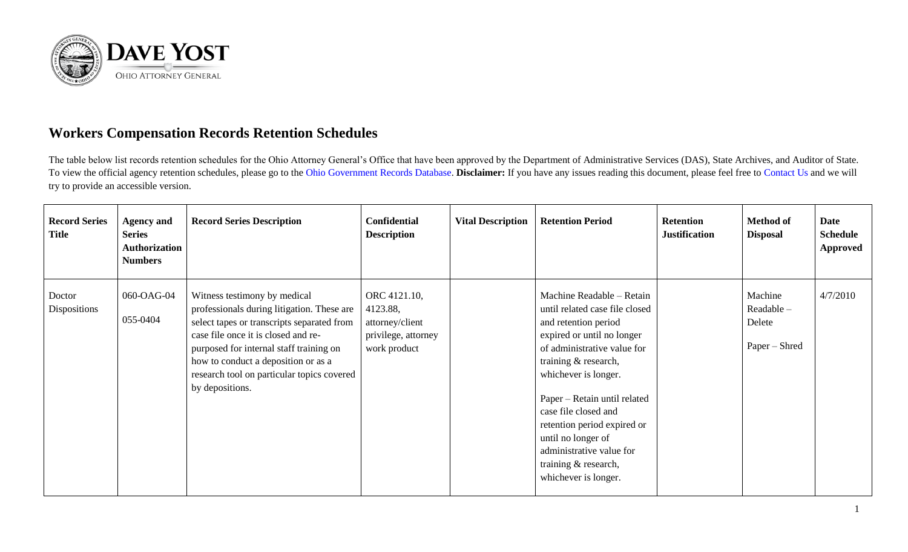

## **Workers Compensation Records Retention Schedules**

The table below list records retention schedules for the Ohio Attorney General's Office that have been approved by the Department of Administrative Services (DAS), State Archives, and Auditor of State. To view the official agency retention schedules, please go to the [Ohio Government Records Database.](https://apps.das.ohio.gov/RIMS/GeneralSchedule) **Disclaimer:** If you have any issues reading this document, please feel free to [Contact Us](https://www.ohioattorneygeneral.gov/About-AG/Contact) and we will try to provide an accessible version.

| <b>Record Series</b><br><b>Title</b> | <b>Agency and</b><br><b>Series</b><br><b>Authorization</b><br><b>Numbers</b> | <b>Record Series Description</b>                                                                                                                                                                                                                                                                                   | <b>Confidential</b><br><b>Description</b>                                          | <b>Vital Description</b> | <b>Retention Period</b>                                                                                                                                                                                                                                                                                                                                                                   | <b>Retention</b><br><b>Justification</b> | <b>Method of</b><br><b>Disposal</b>              | <b>Date</b><br><b>Schedule</b><br>Approved |
|--------------------------------------|------------------------------------------------------------------------------|--------------------------------------------------------------------------------------------------------------------------------------------------------------------------------------------------------------------------------------------------------------------------------------------------------------------|------------------------------------------------------------------------------------|--------------------------|-------------------------------------------------------------------------------------------------------------------------------------------------------------------------------------------------------------------------------------------------------------------------------------------------------------------------------------------------------------------------------------------|------------------------------------------|--------------------------------------------------|--------------------------------------------|
| Doctor<br>Dispositions               | 060-OAG-04<br>055-0404                                                       | Witness testimony by medical<br>professionals during litigation. These are<br>select tapes or transcripts separated from<br>case file once it is closed and re-<br>purposed for internal staff training on<br>how to conduct a deposition or as a<br>research tool on particular topics covered<br>by depositions. | ORC 4121.10,<br>4123.88,<br>attorney/client<br>privilege, attorney<br>work product |                          | Machine Readable - Retain<br>until related case file closed<br>and retention period<br>expired or until no longer<br>of administrative value for<br>training & research,<br>whichever is longer.<br>Paper – Retain until related<br>case file closed and<br>retention period expired or<br>until no longer of<br>administrative value for<br>training & research,<br>whichever is longer. |                                          | Machine<br>Readable -<br>Delete<br>Paper – Shred | 4/7/2010                                   |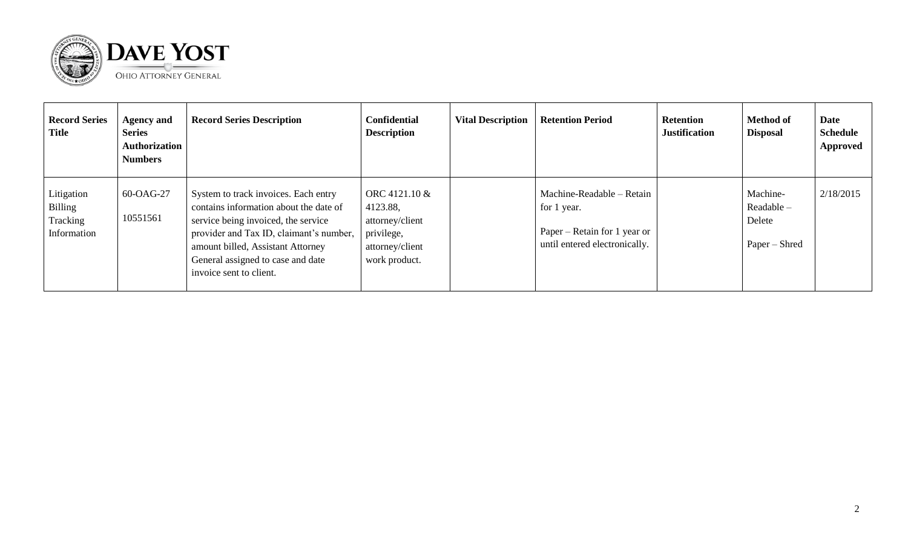

| <b>Record Series</b><br>Title                    | <b>Agency and</b><br><b>Series</b><br><b>Authorization</b><br><b>Numbers</b> | <b>Record Series Description</b>                                                                                                                                                                                                                                      | <b>Confidential</b><br><b>Description</b>                                                      | <b>Vital Description</b> | <b>Retention Period</b>                                                                                   | <b>Retention</b><br><b>Justification</b> | <b>Method of</b><br><b>Disposal</b>               | <b>Date</b><br><b>Schedule</b><br><b>Approved</b> |
|--------------------------------------------------|------------------------------------------------------------------------------|-----------------------------------------------------------------------------------------------------------------------------------------------------------------------------------------------------------------------------------------------------------------------|------------------------------------------------------------------------------------------------|--------------------------|-----------------------------------------------------------------------------------------------------------|------------------------------------------|---------------------------------------------------|---------------------------------------------------|
| Litigation<br>Billing<br>Tracking<br>Information | 60-OAG-27<br>10551561                                                        | System to track invoices. Each entry<br>contains information about the date of<br>service being invoiced, the service<br>provider and Tax ID, claimant's number,<br>amount billed, Assistant Attorney<br>General assigned to case and date<br>invoice sent to client. | ORC 4121.10 &<br>4123.88,<br>attorney/client<br>privilege,<br>attorney/client<br>work product. |                          | Machine-Readable – Retain<br>for 1 year.<br>Paper – Retain for 1 year or<br>until entered electronically. |                                          | Machine-<br>Readable –<br>Delete<br>Paper – Shred | 2/18/2015                                         |